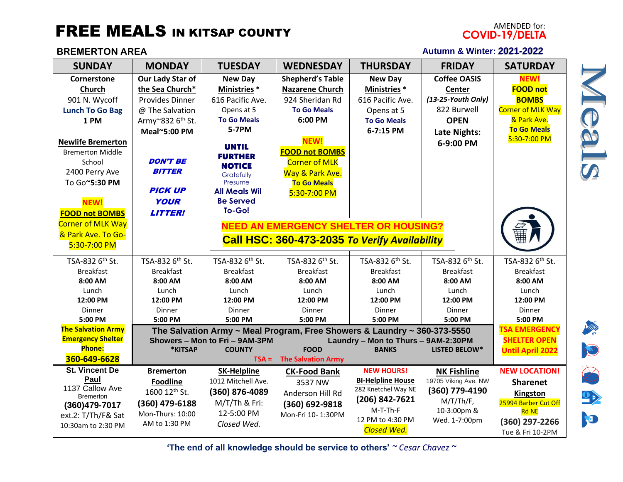## **FREE MEALS IN KITSAP COUNTY**

## **BREMERTON AREA**

## AMENDED for:<br>COVID-19/DELTA **Autumn & Winter: 2021-2022**

| <b>SUNDAY</b>                      | <b>MONDAY</b>                                                                                                                                     | <b>TUESDAY</b>              | <b>WEDNESDAY</b>                              | <b>THURSDAY</b>             | <b>FRIDAY</b>        | <b>SATURDAY</b>                                |
|------------------------------------|---------------------------------------------------------------------------------------------------------------------------------------------------|-----------------------------|-----------------------------------------------|-----------------------------|----------------------|------------------------------------------------|
| Cornerstone                        | Our Lady Star of                                                                                                                                  | <b>New Day</b>              | <b>Shepherd's Table</b>                       | <b>New Day</b>              | <b>Coffee OASIS</b>  | <b>NEW!</b>                                    |
| Church                             | the Sea Church*                                                                                                                                   | <b>Ministries</b> *         | <b>Nazarene Church</b>                        | <b>Ministries</b> *         | Center               | <b>FOOD not</b>                                |
| 901 N. Wycoff                      | <b>Provides Dinner</b>                                                                                                                            | 616 Pacific Ave.            | 924 Sheridan Rd                               | 616 Pacific Ave.            | (13-25-Youth Only)   | <b>BOMBS</b>                                   |
| <b>Lunch To Go Bag</b>             | @ The Salvation                                                                                                                                   | Opens at 5                  | <b>To Go Meals</b>                            | Opens at 5                  | 822 Burwell          | <b>Corner of MLK Way</b>                       |
| 1 PM                               | Army~832 6 <sup>th</sup> St.                                                                                                                      | <b>To Go Meals</b>          | 6:00 PM                                       | <b>To Go Meals</b>          | <b>OPEN</b>          | & Park Ave.                                    |
|                                    | Meal~5:00 PM                                                                                                                                      | 5-7PM                       |                                               | 6-7:15 PM                   | Late Nights:         | <b>To Go Meals</b>                             |
| <b>Newlife Bremerton</b>           |                                                                                                                                                   |                             | <b>NEW!</b>                                   |                             | 6-9:00 PM            | 5:30-7:00 PM                                   |
| <b>Bremerton Middle</b>            |                                                                                                                                                   | <b>UNTIL</b>                | <b>FOOD not BOMBS</b>                         |                             |                      |                                                |
| School                             | <b>DON'T BE</b>                                                                                                                                   | <b>FURTHER</b>              | <b>Corner of MLK</b>                          |                             |                      |                                                |
| 2400 Perry Ave                     | <b>BITTER</b>                                                                                                                                     | <b>NOTICE</b><br>Gratefully | Way & Park Ave.                               |                             |                      |                                                |
| To Go~5:30 PM                      |                                                                                                                                                   | Presume                     | <b>To Go Meals</b>                            |                             |                      |                                                |
|                                    | <b>PICK UP</b>                                                                                                                                    | <b>All Meals Wil</b>        | 5:30-7:00 PM                                  |                             |                      |                                                |
| <b>NEW!</b>                        | <b>YOUR</b>                                                                                                                                       | <b>Be Served</b>            |                                               |                             |                      |                                                |
| <b>FOOD not BOMBS</b>              | <b>LITTER!</b>                                                                                                                                    | To-Go!                      |                                               |                             |                      |                                                |
| <b>Corner of MLK Way</b>           | <b>NEED AN EMERGENCY SHELTER OR HOUSING?</b>                                                                                                      |                             |                                               |                             |                      |                                                |
| & Park Ave. To Go-                 |                                                                                                                                                   |                             |                                               |                             |                      |                                                |
| 5:30-7:00 PM                       |                                                                                                                                                   |                             | Call HSC: 360-473-2035 To Verify Availability |                             |                      |                                                |
|                                    |                                                                                                                                                   |                             |                                               |                             |                      |                                                |
| TSA-832 6th St.                    | TSA-832 6 <sup>th</sup> St.                                                                                                                       | TSA-832 6th St.             | TSA-832 6th St.                               | TSA-832 6 <sup>th</sup> St. | TSA-832 6th St.      | TSA-832 6 <sup>th</sup> St.                    |
| <b>Breakfast</b>                   | <b>Breakfast</b>                                                                                                                                  | <b>Breakfast</b>            | <b>Breakfast</b>                              | <b>Breakfast</b>            | <b>Breakfast</b>     | <b>Breakfast</b>                               |
| 8:00 AM                            | 8:00 AM                                                                                                                                           | 8:00 AM                     | 8:00 AM                                       | 8:00 AM                     | 8:00 AM              | 8:00 AM                                        |
| Lunch<br>12:00 PM                  | Lunch<br>12:00 PM                                                                                                                                 | Lunch<br>12:00 PM           | Lunch<br>12:00 PM                             | Lunch<br>12:00 PM           | Lunch<br>12:00 PM    | Lunch<br>12:00 PM                              |
| Dinner                             | Dinner                                                                                                                                            | Dinner                      | Dinner                                        | Dinner                      | Dinner               | Dinner                                         |
| 5:00 PM                            | 5:00 PM                                                                                                                                           | 5:00 PM                     | 5:00 PM                                       | 5:00 PM                     | 5:00 PM              | 5:00 PM                                        |
| <b>The Salvation Army</b>          |                                                                                                                                                   |                             |                                               |                             |                      | <b>TSA EMERGENCY</b>                           |
| <b>Emergency Shelter</b>           | The Salvation Army ~ Meal Program, Free Showers & Laundry ~ 360-373-5550<br>Showers - Mon to Fri - 9AM-3PM<br>Laundry - Mon to Thurs - 9AM-2:30PM |                             |                                               |                             |                      |                                                |
| <b>Phone:</b>                      | *KITSAP                                                                                                                                           | <b>COUNTY</b>               | <b>FOOD</b>                                   | <b>BANKS</b>                | <b>LISTED BELOW*</b> | <b>SHELTER OPEN</b><br><b>Until April 2022</b> |
| 360-649-6628                       |                                                                                                                                                   | $TSA =$                     | <b>The Salvation Army</b>                     |                             |                      |                                                |
| <b>St. Vincent De</b>              | <b>Bremerton</b>                                                                                                                                  | <b>SK-Helpline</b>          | <b>CK-Food Bank</b>                           | <b>NEW HOURS!</b>           | <b>NK Fishline</b>   | <b>NEW LOCATION!</b>                           |
| Paul                               | <b>Foodline</b>                                                                                                                                   | 1012 Mitchell Ave.          | 3537 NW                                       | <b>BI-Helpline House</b>    | 19705 Viking Ave. NW | <b>Sharenet</b>                                |
| 1137 Callow Ave                    | 1600 12 <sup>th</sup> St.                                                                                                                         | (360) 876-4089              | Anderson Hill Rd                              | 282 Knetchel Way NE         | (360) 779-4190       | Kingston                                       |
| <b>Bremerton</b><br>(360) 479-7017 | (360) 479-6188                                                                                                                                    | M/T/Th & Fri:               | (360) 692-9818                                | (206) 842-7621              | $M/T/Th/F$ ,         | 25994 Barber Cut Off                           |
| ext.2: T/Th/F& Sat                 | Mon-Thurs: 10:00                                                                                                                                  | 12-5:00 PM                  | Mon-Fri 10-1:30PM                             | M-T-Th-F                    | 10-3:00pm &          | <b>Rd NE</b>                                   |
| 10:30am to 2:30 PM                 | AM to 1:30 PM                                                                                                                                     | Closed Wed.                 |                                               | 12 PM to 4:30 PM            | Wed. 1-7:00pm        | (360) 297-2266                                 |
|                                    |                                                                                                                                                   |                             |                                               | <b>Closed Wed.</b>          |                      | Tue & Fri 10-2PM                               |

**'The end of all knowledge should be service to others'** *~ Cesar Chavez ~*



**MARK** 

 $\bigotimes$ 

D